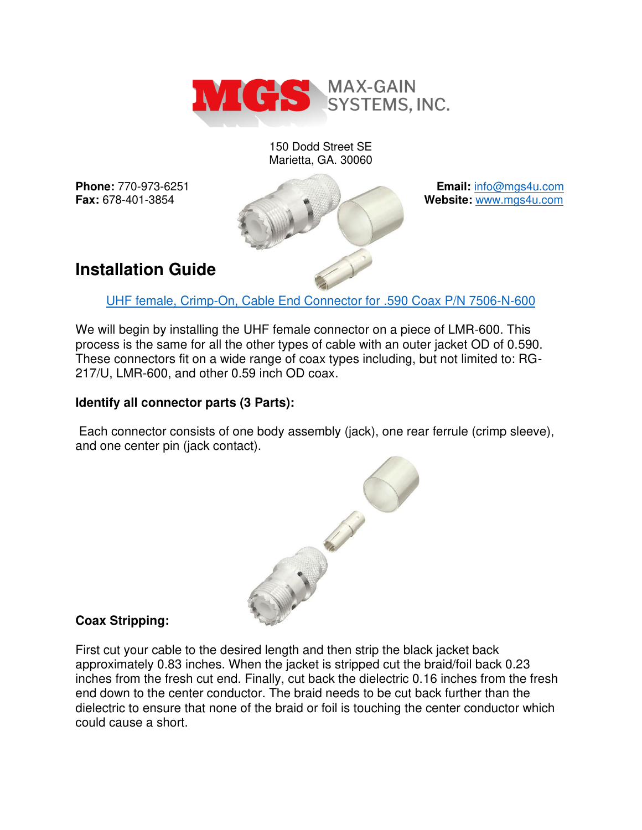

150 Dodd Street SE Marietta, GA. 30060



# **Installation Guide**

UHF [female, Crimp-On, Cable End Connector for .590 Coax P/N 7506-N-600](https://mgs4u.com/product/uhf-female-crimp-connector-for-0-590-inch-od-coax-7506-uhf-600/)

We will begin by installing the UHF female connector on a piece of LMR-600. This process is the same for all the other types of cable with an outer jacket OD of 0.590. These connectors fit on a wide range of coax types including, but not limited to: RG-217/U, LMR-600, and other 0.59 inch OD coax.

# **Identify all connector parts (3 Parts):**

 Each connector consists of one body assembly (jack), one rear ferrule (crimp sleeve), and one center pin (jack contact).



# **Coax Stripping:**

First cut your cable to the desired length and then strip the black jacket back approximately 0.83 inches. When the jacket is stripped cut the braid/foil back 0.23 inches from the fresh cut end. Finally, cut back the dielectric 0.16 inches from the fresh end down to the center conductor. The braid needs to be cut back further than the dielectric to ensure that none of the braid or foil is touching the center conductor which could cause a short.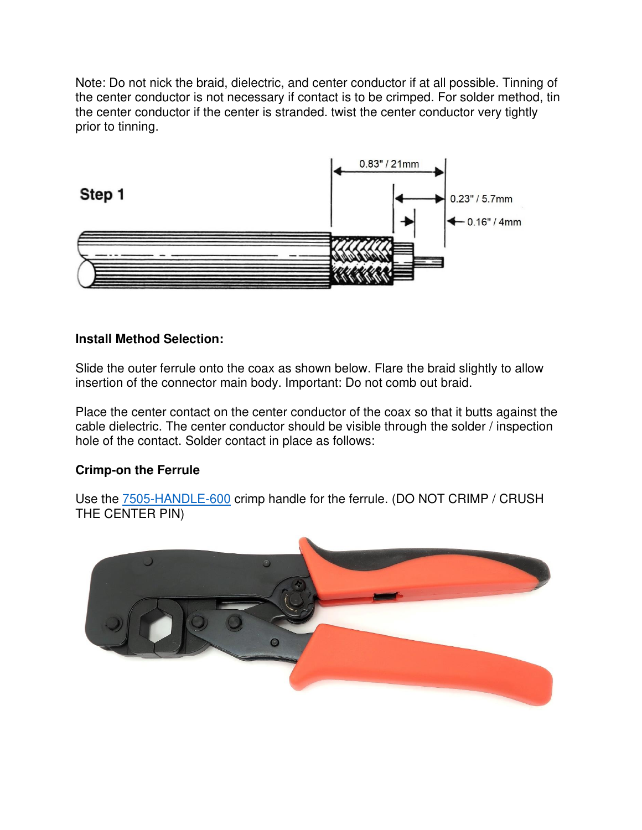Note: Do not nick the braid, dielectric, and center conductor if at all possible. Tinning of the center conductor is not necessary if contact is to be crimped. For solder method, tin the center conductor if the center is stranded. twist the center conductor very tightly prior to tinning.



#### **Install Method Selection:**

Slide the outer ferrule onto the coax as shown below. Flare the braid slightly to allow insertion of the connector main body. Important: Do not comb out braid.

Place the center contact on the center conductor of the coax so that it butts against the cable dielectric. The center conductor should be visible through the solder / inspection hole of the contact. Solder contact in place as follows:

#### **Crimp-on the Ferrule**

Use the **7505-HANDLE-600** crimp handle for the ferrule. (DO NOT CRIMP / CRUSH THE CENTER PIN)